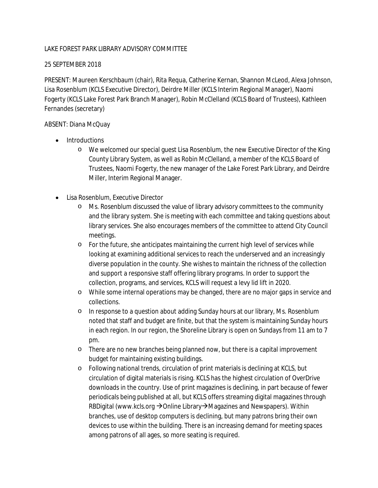## LAKE FOREST PARK LIBRARY ADVISORY COMMITTEE

## 25 SEPTEMBER 2018

PRESENT: Maureen Kerschbaum (chair), Rita Requa, Catherine Kernan, Shannon McLeod, Alexa Johnson, Lisa Rosenblum (KCLS Executive Director), Deirdre Miller (KCLS Interim Regional Manager), Naomi Fogerty (KCLS Lake Forest Park Branch Manager), Robin McClelland (KCLS Board of Trustees), Kathleen Fernandes (secretary)

## ABSENT: Diana McQuay

- Introductions
	- o We welcomed our special guest Lisa Rosenblum, the new Executive Director of the King County Library System, as well as Robin McClelland, a member of the KCLS Board of Trustees, Naomi Fogerty, the new manager of the Lake Forest Park Library, and Deirdre Miller, Interim Regional Manager.
- Lisa Rosenblum, Executive Director
	- o Ms. Rosenblum discussed the value of library advisory committees to the community and the library system. She is meeting with each committee and taking questions about library services. She also encourages members of the committee to attend City Council meetings.
	- o For the future, she anticipates maintaining the current high level of services while looking at examining additional services to reach the underserved and an increasingly diverse population in the county. She wishes to maintain the richness of the collection and support a responsive staff offering library programs. In order to support the collection, programs, and services, KCLS will request a levy lid lift in 2020.
	- o While some internal operations may be changed, there are no major gaps in service and collections.
	- o In response to a question about adding Sunday hours at our library, Ms. Rosenblum noted that staff and budget are finite, but that the system is maintaining Sunday hours in each region. In our region, the Shoreline Library is open on Sundays from 11 am to 7 pm.
	- o There are no new branches being planned now, but there is a capital improvement budget for maintaining existing buildings.
	- o Following national trends, circulation of print materials is declining at KCLS, but circulation of digital materials is rising. KCLS has the highest circulation of OverDrive downloads in the country. Use of print magazines is declining, in part because of fewer periodicals being published at all, but KCLS offers streaming digital magazines through RBDigital (www.kcls.org →Online Library→Magazines and Newspapers). Within branches, use of desktop computers is declining, but many patrons bring their own devices to use within the building. There is an increasing demand for meeting spaces among patrons of all ages, so more seating is required.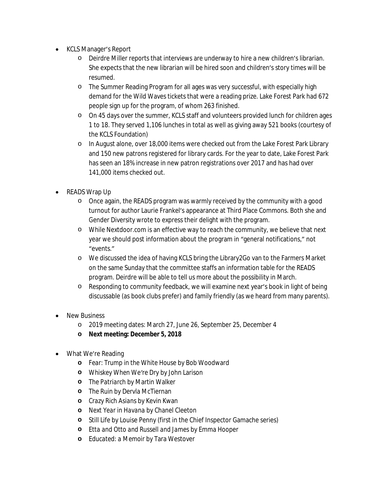- KCLS Manager's Report
	- o Deirdre Miller reports that interviews are underway to hire a new children's librarian. She expects that the new librarian will be hired soon and children's story times will be resumed.
	- o The Summer Reading Program for all ages was very successful, with especially high demand for the Wild Waves tickets that were a reading prize. Lake Forest Park had 672 people sign up for the program, of whom 263 finished.
	- o On 45 days over the summer, KCLS staff and volunteers provided lunch for children ages 1 to 18. They served 1,106 lunches in total as well as giving away 521 books (courtesy of the KCLS Foundation)
	- o In August alone, over 18,000 items were checked out from the Lake Forest Park Library and 150 new patrons registered for library cards. For the year to date, Lake Forest Park has seen an 18% increase in new patron registrations over 2017 and has had over 141,000 items checked out.
- READS Wrap Up
	- o Once again, the READS program was warmly received by the community with a good turnout for author Laurie Frankel's appearance at Third Place Commons. Both she and Gender Diversity wrote to express their delight with the program.
	- o While Nextdoor.com is an effective way to reach the community, we believe that next year we should post information about the program in "general notifications," not "events."
	- o We discussed the idea of having KCLS bring the Library2Go van to the Farmers Market on the same Sunday that the committee staffs an information table for the READS program. Deirdre will be able to tell us more about the possibility in March.
	- o Responding to community feedback, we will examine next year's book in light of being discussable (as book clubs prefer) and family friendly (as we heard from many parents).
- New Business
	- o 2019 meeting dates: March 27, June 26, September 25, December 4
	- **o Next meeting: December 5, 2018**
- What We're Reading
	- **o** *Fear: Trump in the White House* by Bob Woodward
	- **o** *Whiskey When We're Dry* by John Larison
	- **o** *The Patriarch* by Martin Walker
	- **o** *The Ruin* by Dervla McTiernan
	- **o** *Crazy Rich Asians* by Kevin Kwan
	- **o** *Next Year in Havana* by Chanel Cleeton
	- **o** *Still Life* by Louise Penny (first in the Chief Inspector Gamache series)
	- **o** *Etta and Otto and Russell and James* by Emma Hooper
	- **o** *Educated: a Memoir* by Tara Westover